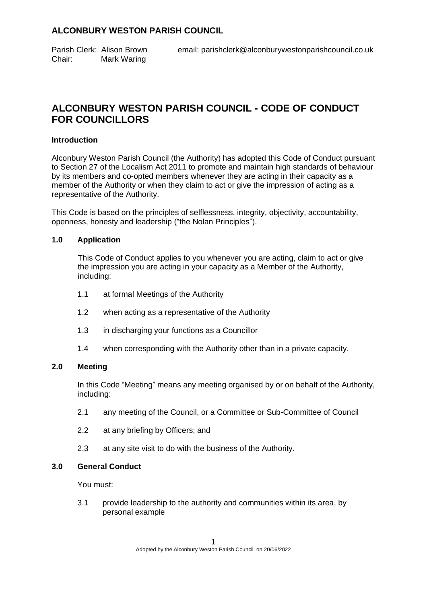Chair: Mark Waring

# **ALCONBURY WESTON PARISH COUNCIL - CODE OF CONDUCT FOR COUNCILLORS**

#### **Introduction**

Alconbury Weston Parish Council (the Authority) has adopted this Code of Conduct pursuant to Section 27 of the Localism Act 2011 to promote and maintain high standards of behaviour by its members and co-opted members whenever they are acting in their capacity as a member of the Authority or when they claim to act or give the impression of acting as a representative of the Authority.

This Code is based on the principles of selflessness, integrity, objectivity, accountability, openness, honesty and leadership ("the Nolan Principles").

#### **1.0 Application**

This Code of Conduct applies to you whenever you are acting, claim to act or give the impression you are acting in your capacity as a Member of the Authority, including:

- 1.1 at formal Meetings of the Authority
- 1.2 when acting as a representative of the Authority
- 1.3 in discharging your functions as a Councillor
- 1.4 when corresponding with the Authority other than in a private capacity.

#### **2.0 Meeting**

In this Code "Meeting" means any meeting organised by or on behalf of the Authority, including:

- 2.1 any meeting of the Council, or a Committee or Sub-Committee of Council
- 2.2 at any briefing by Officers; and
- 2.3 at any site visit to do with the business of the Authority.

## **3.0 General Conduct**

You must:

3.1 provide leadership to the authority and communities within its area, by personal example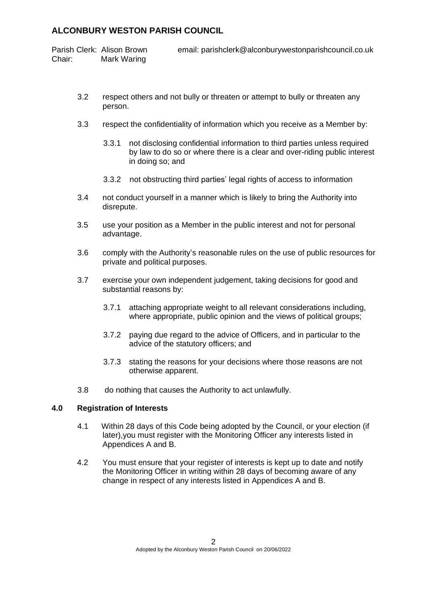Parish Clerk: Alison Brown email: parishclerk@alconburywestonparishcouncil.co.uk Chair: Mark Waring

- 3.2 respect others and not bully or threaten or attempt to bully or threaten any person.
- 3.3 respect the confidentiality of information which you receive as a Member by:
	- 3.3.1 not disclosing confidential information to third parties unless required by law to do so or where there is a clear and over-riding public interest in doing so; and
	- 3.3.2 not obstructing third parties' legal rights of access to information
- 3.4 not conduct yourself in a manner which is likely to bring the Authority into disrepute.
- 3.5 use your position as a Member in the public interest and not for personal advantage.
- 3.6 comply with the Authority's reasonable rules on the use of public resources for private and political purposes.
- 3.7 exercise your own independent judgement, taking decisions for good and substantial reasons by:
	- 3.7.1 attaching appropriate weight to all relevant considerations including, where appropriate, public opinion and the views of political groups;
	- 3.7.2 paying due regard to the advice of Officers, and in particular to the advice of the statutory officers; and
	- 3.7.3 stating the reasons for your decisions where those reasons are not otherwise apparent.
- 3.8 do nothing that causes the Authority to act unlawfully.

## **4.0 Registration of Interests**

- 4.1 Within 28 days of this Code being adopted by the Council, or your election (if later),you must register with the Monitoring Officer any interests listed in Appendices A and B.
- 4.2 You must ensure that your register of interests is kept up to date and notify the Monitoring Officer in writing within 28 days of becoming aware of any change in respect of any interests listed in Appendices A and B.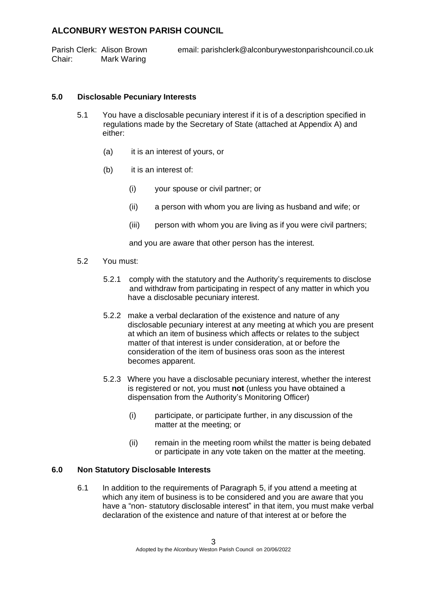Parish Clerk: Alison Brown email: parishclerk@alconburywestonparishcouncil.co.uk Chair: Mark Waring

### **5.0 Disclosable Pecuniary Interests**

- 5.1 You have a disclosable pecuniary interest if it is of a description specified in regulations made by the Secretary of State (attached at Appendix A) and either:
	- (a) it is an interest of yours, or
	- (b) it is an interest of:
		- (i) your spouse or civil partner; or
		- (ii) a person with whom you are living as husband and wife; or
		- (iii) person with whom you are living as if you were civil partners;

and you are aware that other person has the interest.

- 5.2 You must:
	- 5.2.1 comply with the statutory and the Authority's requirements to disclose and withdraw from participating in respect of any matter in which you have a disclosable pecuniary interest.
	- 5.2.2 make a verbal declaration of the existence and nature of any disclosable pecuniary interest at any meeting at which you are present at which an item of business which affects or relates to the subject matter of that interest is under consideration, at or before the consideration of the item of business oras soon as the interest becomes apparent.
	- 5.2.3 Where you have a disclosable pecuniary interest, whether the interest is registered or not, you must **not** (unless you have obtained a dispensation from the Authority's Monitoring Officer)
		- (i) participate, or participate further, in any discussion of the matter at the meeting; or
		- (ii) remain in the meeting room whilst the matter is being debated or participate in any vote taken on the matter at the meeting.

### **6.0 Non Statutory Disclosable Interests**

6.1 In addition to the requirements of Paragraph 5, if you attend a meeting at which any item of business is to be considered and you are aware that you have a "non- statutory disclosable interest" in that item, you must make verbal declaration of the existence and nature of that interest at or before the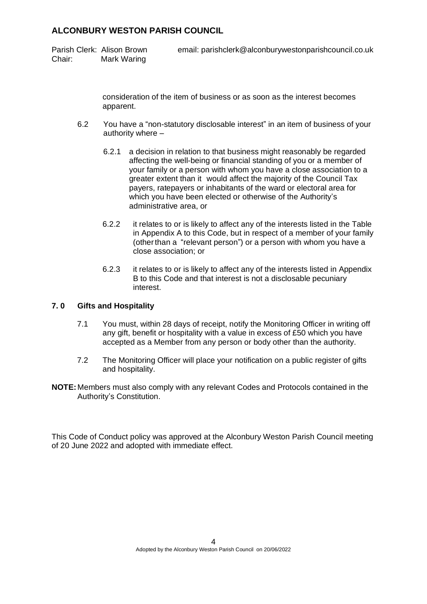Chair: Mark Waring

Parish Clerk: Alison Brown email: parishclerk@alconburywestonparishcouncil.co.uk

consideration of the item of business or as soon as the interest becomes apparent.

- 6.2 You have a "non-statutory disclosable interest" in an item of business of your authority where –
	- 6.2.1 a decision in relation to that business might reasonably be regarded affecting the well-being or financial standing of you or a member of your family or a person with whom you have a close association to a greater extent than it would affect the majority of the Council Tax payers, ratepayers or inhabitants of the ward or electoral area for which you have been elected or otherwise of the Authority's administrative area, or
	- 6.2.2 it relates to or is likely to affect any of the interests listed in the Table in Appendix A to this Code, but in respect of a member of your family (otherthan a "relevant person") or a person with whom you have a close association; or
	- 6.2.3 it relates to or is likely to affect any of the interests listed in Appendix B to this Code and that interest is not a disclosable pecuniary interest.

#### **7. 0 Gifts and Hospitality**

- 7.1 You must, within 28 days of receipt, notify the Monitoring Officer in writing off any gift, benefit or hospitality with a value in excess of £50 which you have accepted as a Member from any person or body other than the authority.
- 7.2 The Monitoring Officer will place your notification on a public register of gifts and hospitality.
- **NOTE:** Members must also comply with any relevant Codes and Protocols contained in the Authority's Constitution.

This Code of Conduct policy was approved at the Alconbury Weston Parish Council meeting of 20 June 2022 and adopted with immediate effect.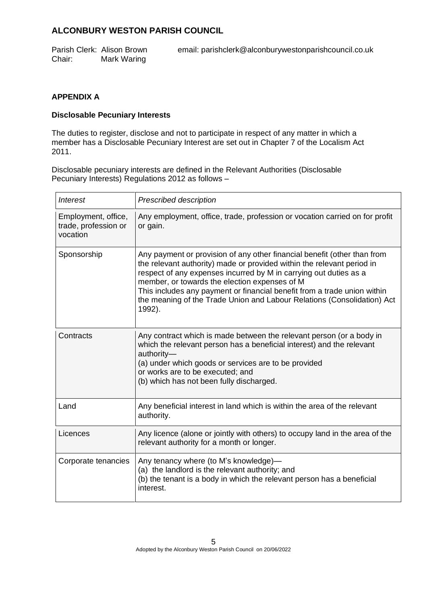Parish Clerk: Alison Brown email: parishclerk@alconburywestonparishcouncil.co.uk Chair: Mark Waring

## **APPENDIX A**

#### **Disclosable Pecuniary Interests**

The duties to register, disclose and not to participate in respect of any matter in which a member has a Disclosable Pecuniary Interest are set out in Chapter 7 of the Localism Act 2011.

Disclosable pecuniary interests are defined in the Relevant Authorities (Disclosable Pecuniary Interests) Regulations 2012 as follows –

| <i>Interest</i>                                         | <b>Prescribed description</b>                                                                                                                                                                                                                                                                                                                                                                                                             |  |
|---------------------------------------------------------|-------------------------------------------------------------------------------------------------------------------------------------------------------------------------------------------------------------------------------------------------------------------------------------------------------------------------------------------------------------------------------------------------------------------------------------------|--|
| Employment, office,<br>trade, profession or<br>vocation | Any employment, office, trade, profession or vocation carried on for profit<br>or gain.                                                                                                                                                                                                                                                                                                                                                   |  |
| Sponsorship                                             | Any payment or provision of any other financial benefit (other than from<br>the relevant authority) made or provided within the relevant period in<br>respect of any expenses incurred by M in carrying out duties as a<br>member, or towards the election expenses of M<br>This includes any payment or financial benefit from a trade union within<br>the meaning of the Trade Union and Labour Relations (Consolidation) Act<br>1992). |  |
| Contracts                                               | Any contract which is made between the relevant person (or a body in<br>which the relevant person has a beneficial interest) and the relevant<br>authority-<br>(a) under which goods or services are to be provided<br>or works are to be executed; and<br>(b) which has not been fully discharged.                                                                                                                                       |  |
| Land                                                    | Any beneficial interest in land which is within the area of the relevant<br>authority.                                                                                                                                                                                                                                                                                                                                                    |  |
| Licences                                                | Any licence (alone or jointly with others) to occupy land in the area of the<br>relevant authority for a month or longer.                                                                                                                                                                                                                                                                                                                 |  |
| Corporate tenancies                                     | Any tenancy where (to M's knowledge)-<br>(a) the landlord is the relevant authority; and<br>(b) the tenant is a body in which the relevant person has a beneficial<br>interest.                                                                                                                                                                                                                                                           |  |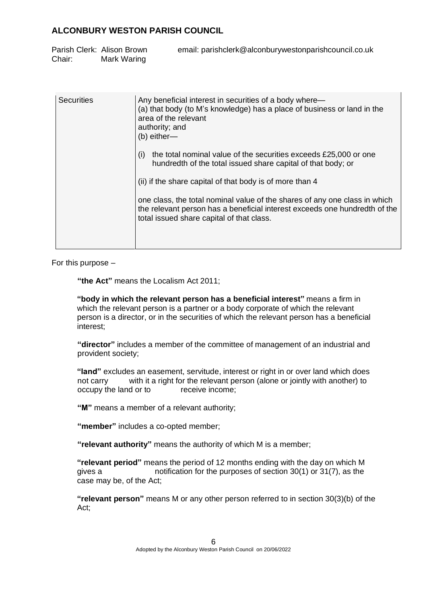|        | Parish Clerk: Alison Brown | email: parishclerk@alconburywestonparishcouncil.co.uk |
|--------|----------------------------|-------------------------------------------------------|
| Chair: | Mark Waring                |                                                       |

| Securities | Any beneficial interest in securities of a body where—<br>(a) that body (to M's knowledge) has a place of business or land in the<br>area of the relevant<br>authority; and<br>$(b)$ either-          |
|------------|-------------------------------------------------------------------------------------------------------------------------------------------------------------------------------------------------------|
|            | the total nominal value of the securities exceeds £25,000 or one<br>(i)<br>hundredth of the total issued share capital of that body; or                                                               |
|            | (ii) if the share capital of that body is of more than 4                                                                                                                                              |
|            | one class, the total nominal value of the shares of any one class in which<br>the relevant person has a beneficial interest exceeds one hundredth of the<br>total issued share capital of that class. |
|            |                                                                                                                                                                                                       |

For this purpose –

**"the Act"** means the Localism Act 2011;

**"body in which the relevant person has a beneficial interest"** means a firm in which the relevant person is a partner or a body corporate of which the relevant person is a director, or in the securities of which the relevant person has a beneficial interest;

**"director"** includes a member of the committee of management of an industrial and provident society;

**"land"** excludes an easement, servitude, interest or right in or over land which does not carry with it a right for the relevant person (alone or jointly with another) to occupy the land or to receive income;

**"M"** means a member of a relevant authority;

**"member"** includes a co-opted member;

**"relevant authority"** means the authority of which M is a member;

**"relevant period"** means the period of 12 months ending with the day on which M gives a notification for the purposes of section 30(1) or 31(7), as the case may be, of the Act;

**"relevant person"** means M or any other person referred to in section 30(3)(b) of the Act;